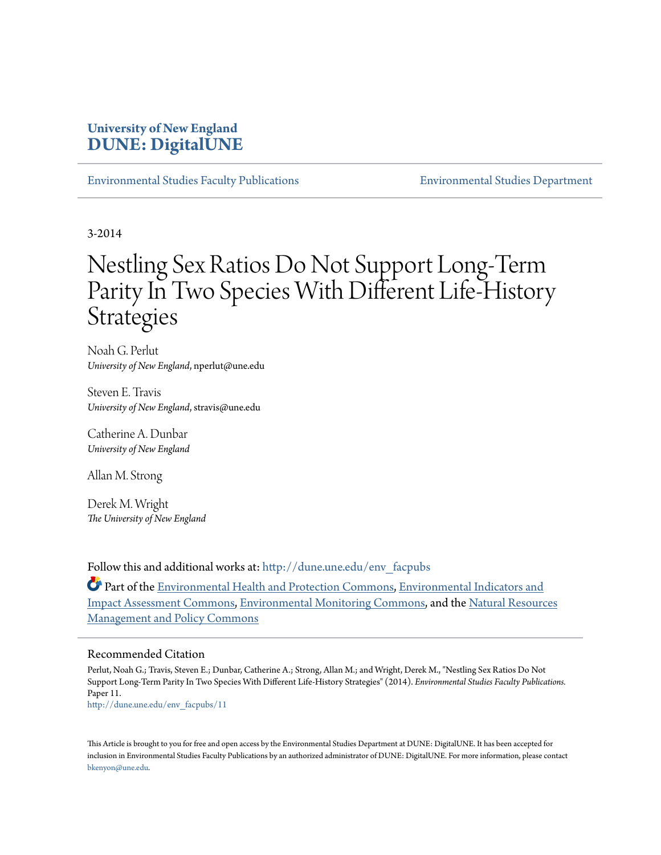# **University of New England [DUNE: DigitalUNE](http://dune.une.edu?utm_source=dune.une.edu%2Fenv_facpubs%2F11&utm_medium=PDF&utm_campaign=PDFCoverPages)**

[Environmental Studies Faculty Publications](http://dune.une.edu/env_facpubs?utm_source=dune.une.edu%2Fenv_facpubs%2F11&utm_medium=PDF&utm_campaign=PDFCoverPages) [Environmental Studies Department](http://dune.une.edu/env?utm_source=dune.une.edu%2Fenv_facpubs%2F11&utm_medium=PDF&utm_campaign=PDFCoverPages)

3-2014

# Nestling Sex Ratios Do Not Support Long-Term Parity In Two Species With Different Life-History Strategies

Noah G. Perlut *University of New England*, nperlut@une.edu

Steven E. Travis *University of New England*, stravis@une.edu

Catherine A. Dunbar *University of New England*

Allan M. Strong

Derek M. Wright *The University of New England*

Follow this and additional works at: [http://dune.une.edu/env\\_facpubs](http://dune.une.edu/env_facpubs?utm_source=dune.une.edu%2Fenv_facpubs%2F11&utm_medium=PDF&utm_campaign=PDFCoverPages)

Part of the [Environmental Health and Protection Commons,](http://network.bepress.com/hgg/discipline/172?utm_source=dune.une.edu%2Fenv_facpubs%2F11&utm_medium=PDF&utm_campaign=PDFCoverPages) [Environmental Indicators and](http://network.bepress.com/hgg/discipline/1015?utm_source=dune.une.edu%2Fenv_facpubs%2F11&utm_medium=PDF&utm_campaign=PDFCoverPages) [Impact Assessment Commons](http://network.bepress.com/hgg/discipline/1015?utm_source=dune.une.edu%2Fenv_facpubs%2F11&utm_medium=PDF&utm_campaign=PDFCoverPages), [Environmental Monitoring Commons,](http://network.bepress.com/hgg/discipline/931?utm_source=dune.une.edu%2Fenv_facpubs%2F11&utm_medium=PDF&utm_campaign=PDFCoverPages) and the [Natural Resources](http://network.bepress.com/hgg/discipline/170?utm_source=dune.une.edu%2Fenv_facpubs%2F11&utm_medium=PDF&utm_campaign=PDFCoverPages) [Management and Policy Commons](http://network.bepress.com/hgg/discipline/170?utm_source=dune.une.edu%2Fenv_facpubs%2F11&utm_medium=PDF&utm_campaign=PDFCoverPages)

# Recommended Citation

Perlut, Noah G.; Travis, Steven E.; Dunbar, Catherine A.; Strong, Allan M.; and Wright, Derek M., "Nestling Sex Ratios Do Not Support Long-Term Parity In Two Species With Different Life-History Strategies" (2014). *Environmental Studies Faculty Publications.* Paper 11.

[http://dune.une.edu/env\\_facpubs/11](http://dune.une.edu/env_facpubs/11?utm_source=dune.une.edu%2Fenv_facpubs%2F11&utm_medium=PDF&utm_campaign=PDFCoverPages)

This Article is brought to you for free and open access by the Environmental Studies Department at DUNE: DigitalUNE. It has been accepted for inclusion in Environmental Studies Faculty Publications by an authorized administrator of DUNE: DigitalUNE. For more information, please contact [bkenyon@une.edu](mailto:bkenyon@une.edu).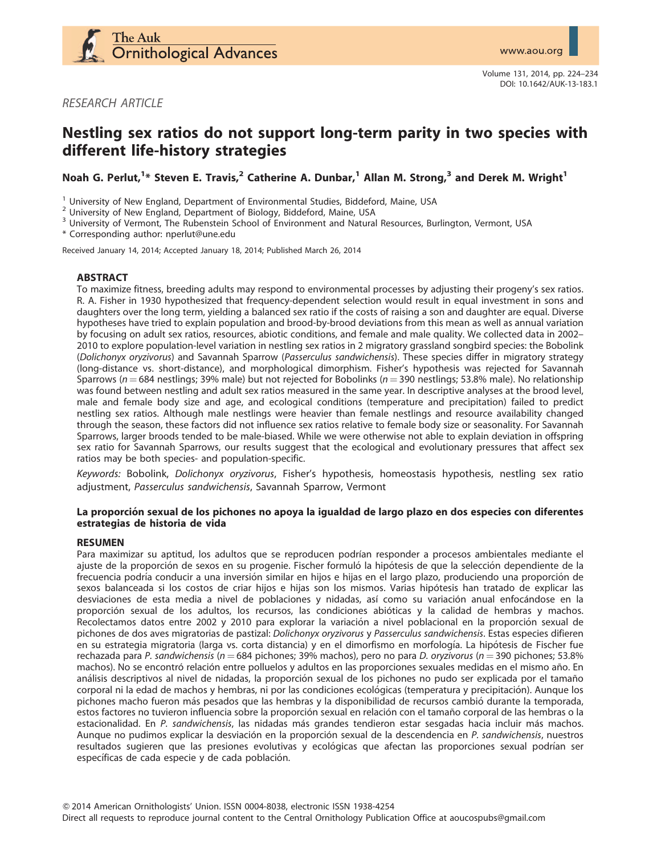

# RESEARCH ARTICLE

# Nestling sex ratios do not support long-term parity in two species with different life-history strategies

Noah G. Perlut, $^{1*}$  Steven E. Travis, $^2$  Catherine A. Dunbar, $^1$  Allan M. Strong, $^3$  and Derek M. Wright $^1$ 

<sup>1</sup> University of New England, Department of Environmental Studies, Biddeford, Maine, USA<br><sup>2</sup> University of New England, Department of Biology, Biddeford, Maine, USA<br><sup>3</sup> University of Vermont, The Rubenstein School of Env

\* Corresponding author: nperlut@une.edu

Received January 14, 2014; Accepted January 18, 2014; Published March 26, 2014

# ABSTRACT

To maximize fitness, breeding adults may respond to environmental processes by adjusting their progeny's sex ratios. R. A. Fisher in 1930 hypothesized that frequency-dependent selection would result in equal investment in sons and daughters over the long term, yielding a balanced sex ratio if the costs of raising a son and daughter are equal. Diverse hypotheses have tried to explain population and brood-by-brood deviations from this mean as well as annual variation by focusing on adult sex ratios, resources, abiotic conditions, and female and male quality. We collected data in 2002– 2010 to explore population-level variation in nestling sex ratios in 2 migratory grassland songbird species: the Bobolink (Dolichonyx oryzivorus) and Savannah Sparrow (Passerculus sandwichensis). These species differ in migratory strategy (long-distance vs. short-distance), and morphological dimorphism. Fisher's hypothesis was rejected for Savannah Sparrows ( $n = 684$  nestlings; 39% male) but not rejected for Bobolinks ( $n = 390$  nestlings; 53.8% male). No relationship was found between nestling and adult sex ratios measured in the same year. In descriptive analyses at the brood level, male and female body size and age, and ecological conditions (temperature and precipitation) failed to predict nestling sex ratios. Although male nestlings were heavier than female nestlings and resource availability changed through the season, these factors did not influence sex ratios relative to female body size or seasonality. For Savannah Sparrows, larger broods tended to be male-biased. While we were otherwise not able to explain deviation in offspring sex ratio for Savannah Sparrows, our results suggest that the ecological and evolutionary pressures that affect sex ratios may be both species- and population-specific.

Keywords: Bobolink, Dolichonyx oryzivorus, Fisher's hypothesis, homeostasis hypothesis, nestling sex ratio adjustment, Passerculus sandwichensis, Savannah Sparrow, Vermont

# La proporción sexual de los pichones no apoya la igualdad de largo plazo en dos especies con diferentes estrategias de historia de vida

#### RESUMEN

Para maximizar su aptitud, los adultos que se reproducen podrían responder a procesos ambientales mediante el ajuste de la proporción de sexos en su progenie. Fischer formuló la hipótesis de que la selección dependiente de la frecuencia podría conducir a una inversión similar en hijos e hijas en el largo plazo, produciendo una proporción de sexos balanceada si los costos de criar hijos e hijas son los mismos. Varias hipotesis han tratado de explicar las ´ desviaciones de esta media a nivel de poblaciones y nidadas, así como su variación anual enfocándose en la proporción sexual de los adultos, los recursos, las condiciones abióticas y la calidad de hembras y machos. Recolectamos datos entre 2002 y 2010 para explorar la variación a nivel poblacional en la proporción sexual de pichones de dos aves migratorias de pastizal: Dolichonyx oryzivorus y Passerculus sandwichensis. Estas especies difieren en su estrategia migratoria (larga vs. corta distancia) y en el dimorfismo en morfología. La hipótesis de Fischer fue rechazada para P. sandwichensis ( $n = 684$  pichones; 39% machos), pero no para D. oryzivorus ( $n = 390$  pichones; 53.8% machos). No se encontró relación entre polluelos y adultos en las proporciones sexuales medidas en el mismo año. En análisis descriptivos al nivel de nidadas, la proporción sexual de los pichones no pudo ser explicada por el tamaño corporal ni la edad de machos y hembras, ni por las condiciones ecológicas (temperatura y precipitación). Aunque los pichones macho fueron más pesados que las hembras y la disponibilidad de recursos cambió durante la temporada, estos factores no tuvieron influencia sobre la proporción sexual en relación con el tamaño corporal de las hembras o la estacionalidad. En P. sandwichensis, las nidadas más grandes tendieron estar sesgadas hacia incluir más machos. Aunque no pudimos explicar la desviación en la proporción sexual de la descendencia en P. sandwichensis, nuestros resultados sugieren que las presiones evolutivas y ecológicas que afectan las proporciones sexual podrían ser específicas de cada especie y de cada población.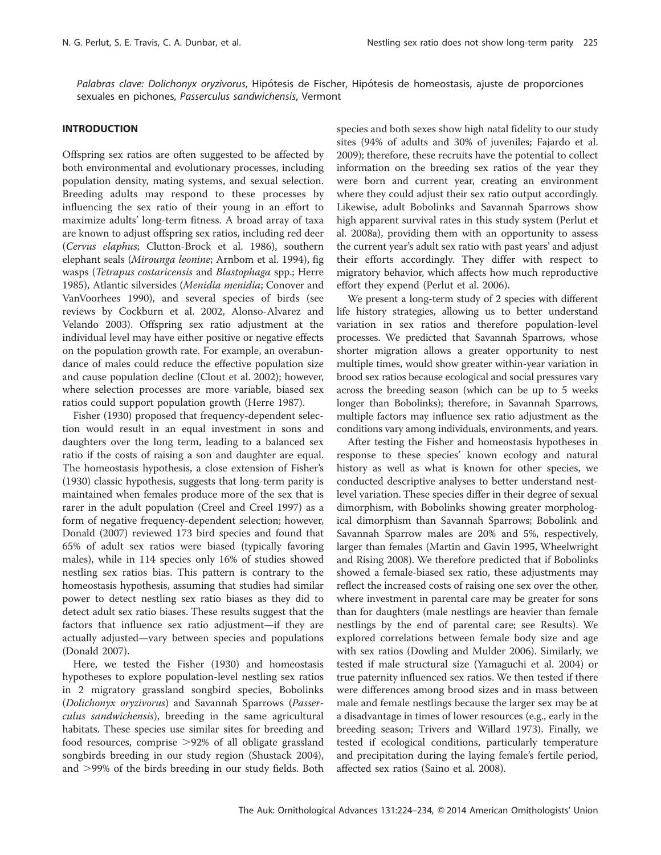Palabras clave: Dolichonyx oryzivorus, Hipótesis de Fischer, Hipótesis de homeostasis, ajuste de proporciones sexuales en pichones, Passerculus sandwichensis, Vermont

# INTRODUCTION

Offspring sex ratios are often suggested to be affected by both environmental and evolutionary processes, including population density, mating systems, and sexual selection. Breeding adults may respond to these processes by influencing the sex ratio of their young in an effort to maximize adults' long-term fitness. A broad array of taxa are known to adjust offspring sex ratios, including red deer (Cervus elaphus; Clutton-Brock et al. 1986), southern elephant seals (Mirounga leonine; Arnbom et al. 1994), fig wasps (Tetrapus costaricensis and Blastophaga spp.; Herre 1985), Atlantic silversides (Menidia menidia; Conover and VanVoorhees 1990), and several species of birds (see reviews by Cockburn et al. 2002, Alonso-Alvarez and Velando 2003). Offspring sex ratio adjustment at the individual level may have either positive or negative effects on the population growth rate. For example, an overabundance of males could reduce the effective population size and cause population decline (Clout et al. 2002); however, where selection processes are more variable, biased sex ratios could support population growth (Herre 1987).

Fisher (1930) proposed that frequency-dependent selection would result in an equal investment in sons and daughters over the long term, leading to a balanced sex ratio if the costs of raising a son and daughter are equal. The homeostasis hypothesis, a close extension of Fisher's (1930) classic hypothesis, suggests that long-term parity is maintained when females produce more of the sex that is rarer in the adult population (Creel and Creel 1997) as a form of negative frequency-dependent selection; however, Donald (2007) reviewed 173 bird species and found that 65% of adult sex ratios were biased (typically favoring males), while in 114 species only 16% of studies showed nestling sex ratios bias. This pattern is contrary to the homeostasis hypothesis, assuming that studies had similar power to detect nestling sex ratio biases as they did to detect adult sex ratio biases. These results suggest that the factors that influence sex ratio adjustment—if they are actually adjusted—vary between species and populations (Donald 2007).

Here, we tested the Fisher (1930) and homeostasis hypotheses to explore population-level nestling sex ratios in 2 migratory grassland songbird species, Bobolinks (Dolichonyx oryzivorus) and Savannah Sparrows (Passerculus sandwichensis), breeding in the same agricultural habitats. These species use similar sites for breeding and food resources, comprise  $>92\%$  of all obligate grassland songbirds breeding in our study region (Shustack 2004), and >99% of the birds breeding in our study fields. Both

species and both sexes show high natal fidelity to our study sites (94% of adults and 30% of juveniles; Fajardo et al. 2009); therefore, these recruits have the potential to collect information on the breeding sex ratios of the year they were born and current year, creating an environment where they could adjust their sex ratio output accordingly. Likewise, adult Bobolinks and Savannah Sparrows show high apparent survival rates in this study system (Perlut et al. 2008a), providing them with an opportunity to assess the current year's adult sex ratio with past years' and adjust their efforts accordingly. They differ with respect to migratory behavior, which affects how much reproductive effort they expend (Perlut et al. 2006).

We present a long-term study of 2 species with different life history strategies, allowing us to better understand variation in sex ratios and therefore population-level processes. We predicted that Savannah Sparrows, whose shorter migration allows a greater opportunity to nest multiple times, would show greater within-year variation in brood sex ratios because ecological and social pressures vary across the breeding season (which can be up to 5 weeks longer than Bobolinks); therefore, in Savannah Sparrows, multiple factors may influence sex ratio adjustment as the conditions vary among individuals, environments, and years.

After testing the Fisher and homeostasis hypotheses in response to these species' known ecology and natural history as well as what is known for other species, we conducted descriptive analyses to better understand nestlevel variation. These species differ in their degree of sexual dimorphism, with Bobolinks showing greater morphological dimorphism than Savannah Sparrows; Bobolink and Savannah Sparrow males are 20% and 5%, respectively, larger than females (Martin and Gavin 1995, Wheelwright and Rising 2008). We therefore predicted that if Bobolinks showed a female-biased sex ratio, these adjustments may reflect the increased costs of raising one sex over the other, where investment in parental care may be greater for sons than for daughters (male nestlings are heavier than female nestlings by the end of parental care; see Results). We explored correlations between female body size and age with sex ratios (Dowling and Mulder 2006). Similarly, we tested if male structural size (Yamaguchi et al. 2004) or true paternity influenced sex ratios. We then tested if there were differences among brood sizes and in mass between male and female nestlings because the larger sex may be at a disadvantage in times of lower resources (e.g., early in the breeding season; Trivers and Willard 1973). Finally, we tested if ecological conditions, particularly temperature and precipitation during the laying female's fertile period, affected sex ratios (Saino et al. 2008).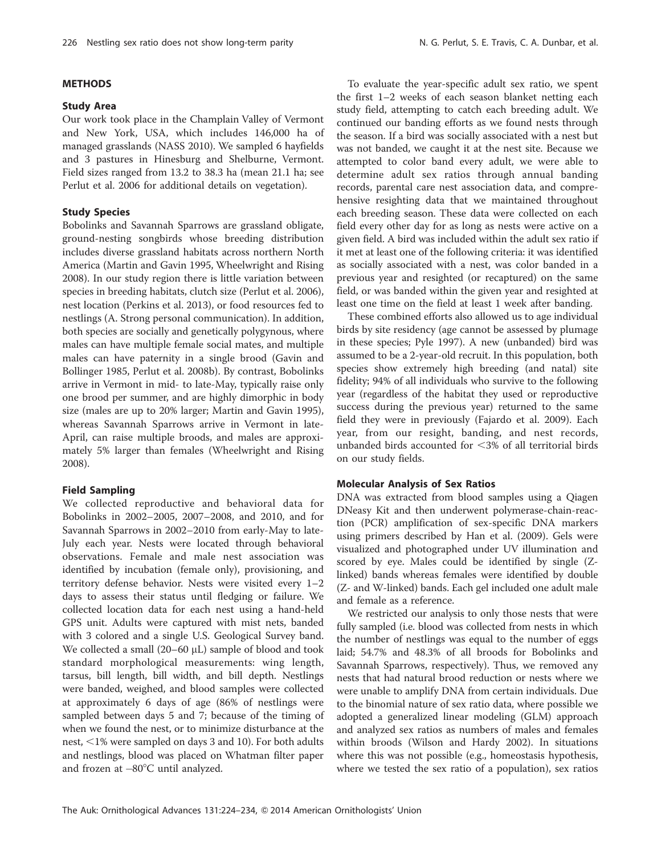# **METHODS**

## Study Area

Our work took place in the Champlain Valley of Vermont and New York, USA, which includes 146,000 ha of managed grasslands (NASS 2010). We sampled 6 hayfields and 3 pastures in Hinesburg and Shelburne, Vermont. Field sizes ranged from 13.2 to 38.3 ha (mean 21.1 ha; see Perlut et al. 2006 for additional details on vegetation).

### Study Species

Bobolinks and Savannah Sparrows are grassland obligate, ground-nesting songbirds whose breeding distribution includes diverse grassland habitats across northern North America (Martin and Gavin 1995, Wheelwright and Rising 2008). In our study region there is little variation between species in breeding habitats, clutch size (Perlut et al. 2006), nest location (Perkins et al. 2013), or food resources fed to nestlings (A. Strong personal communication). In addition, both species are socially and genetically polygynous, where males can have multiple female social mates, and multiple males can have paternity in a single brood (Gavin and Bollinger 1985, Perlut et al. 2008b). By contrast, Bobolinks arrive in Vermont in mid- to late-May, typically raise only one brood per summer, and are highly dimorphic in body size (males are up to 20% larger; Martin and Gavin 1995), whereas Savannah Sparrows arrive in Vermont in late-April, can raise multiple broods, and males are approximately 5% larger than females (Wheelwright and Rising 2008).

#### Field Sampling

We collected reproductive and behavioral data for Bobolinks in 2002–2005, 2007–2008, and 2010, and for Savannah Sparrows in 2002–2010 from early-May to late-July each year. Nests were located through behavioral observations. Female and male nest association was identified by incubation (female only), provisioning, and territory defense behavior. Nests were visited every 1–2 days to assess their status until fledging or failure. We collected location data for each nest using a hand-held GPS unit. Adults were captured with mist nets, banded with 3 colored and a single U.S. Geological Survey band. We collected a small  $(20-60 \mu L)$  sample of blood and took standard morphological measurements: wing length, tarsus, bill length, bill width, and bill depth. Nestlings were banded, weighed, and blood samples were collected at approximately 6 days of age (86% of nestlings were sampled between days 5 and 7; because of the timing of when we found the nest, or to minimize disturbance at the nest, <1% were sampled on days 3 and 10). For both adults and nestlings, blood was placed on Whatman filter paper and frozen at  $-80^{\circ}$ C until analyzed.

To evaluate the year-specific adult sex ratio, we spent the first 1–2 weeks of each season blanket netting each study field, attempting to catch each breeding adult. We continued our banding efforts as we found nests through the season. If a bird was socially associated with a nest but was not banded, we caught it at the nest site. Because we attempted to color band every adult, we were able to determine adult sex ratios through annual banding records, parental care nest association data, and comprehensive resighting data that we maintained throughout each breeding season. These data were collected on each field every other day for as long as nests were active on a given field. A bird was included within the adult sex ratio if it met at least one of the following criteria: it was identified as socially associated with a nest, was color banded in a previous year and resighted (or recaptured) on the same field, or was banded within the given year and resighted at least one time on the field at least 1 week after banding.

These combined efforts also allowed us to age individual birds by site residency (age cannot be assessed by plumage in these species; Pyle 1997). A new (unbanded) bird was assumed to be a 2-year-old recruit. In this population, both species show extremely high breeding (and natal) site fidelity; 94% of all individuals who survive to the following year (regardless of the habitat they used or reproductive success during the previous year) returned to the same field they were in previously (Fajardo et al. 2009). Each year, from our resight, banding, and nest records, unbanded birds accounted for  $\leq$ 3% of all territorial birds on our study fields.

#### Molecular Analysis of Sex Ratios

DNA was extracted from blood samples using a Qiagen DNeasy Kit and then underwent polymerase-chain-reaction (PCR) amplification of sex-specific DNA markers using primers described by Han et al. (2009). Gels were visualized and photographed under UV illumination and scored by eye. Males could be identified by single (Zlinked) bands whereas females were identified by double (Z- and W-linked) bands. Each gel included one adult male and female as a reference.

We restricted our analysis to only those nests that were fully sampled (i.e. blood was collected from nests in which the number of nestlings was equal to the number of eggs laid; 54.7% and 48.3% of all broods for Bobolinks and Savannah Sparrows, respectively). Thus, we removed any nests that had natural brood reduction or nests where we were unable to amplify DNA from certain individuals. Due to the binomial nature of sex ratio data, where possible we adopted a generalized linear modeling (GLM) approach and analyzed sex ratios as numbers of males and females within broods (Wilson and Hardy 2002). In situations where this was not possible (e.g., homeostasis hypothesis, where we tested the sex ratio of a population), sex ratios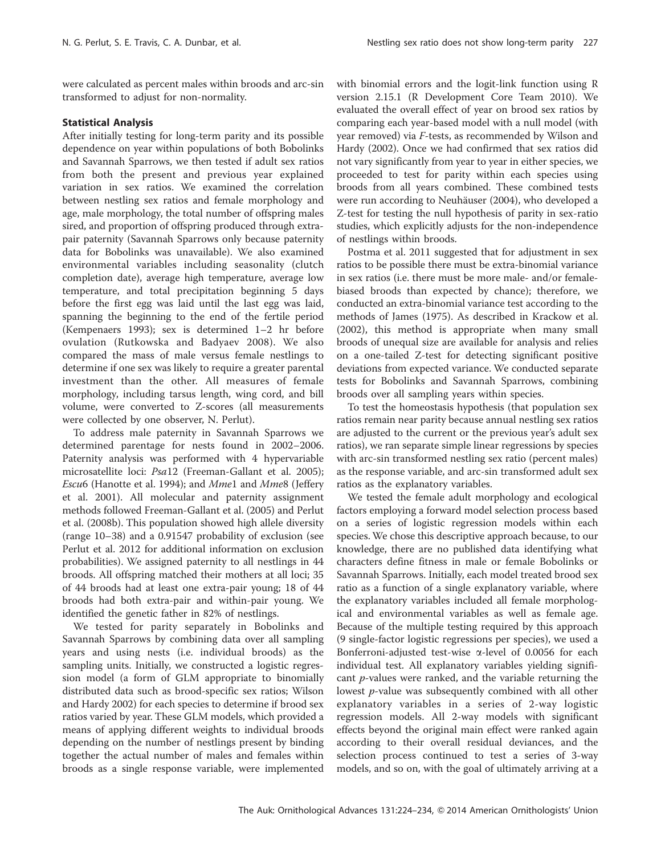were calculated as percent males within broods and arc-sin transformed to adjust for non-normality.

## Statistical Analysis

After initially testing for long-term parity and its possible dependence on year within populations of both Bobolinks and Savannah Sparrows, we then tested if adult sex ratios from both the present and previous year explained variation in sex ratios. We examined the correlation between nestling sex ratios and female morphology and age, male morphology, the total number of offspring males sired, and proportion of offspring produced through extrapair paternity (Savannah Sparrows only because paternity data for Bobolinks was unavailable). We also examined environmental variables including seasonality (clutch completion date), average high temperature, average low temperature, and total precipitation beginning 5 days before the first egg was laid until the last egg was laid, spanning the beginning to the end of the fertile period (Kempenaers 1993); sex is determined 1–2 hr before ovulation (Rutkowska and Badyaev 2008). We also compared the mass of male versus female nestlings to determine if one sex was likely to require a greater parental investment than the other. All measures of female morphology, including tarsus length, wing cord, and bill volume, were converted to Z-scores (all measurements were collected by one observer, N. Perlut).

To address male paternity in Savannah Sparrows we determined parentage for nests found in 2002–2006. Paternity analysis was performed with 4 hypervariable microsatellite loci: Psa12 (Freeman-Gallant et al. 2005); Escu6 (Hanotte et al. 1994); and Mme1 and Mme8 (Jeffery et al. 2001). All molecular and paternity assignment methods followed Freeman-Gallant et al. (2005) and Perlut et al. (2008b). This population showed high allele diversity (range 10–38) and a 0.91547 probability of exclusion (see Perlut et al. 2012 for additional information on exclusion probabilities). We assigned paternity to all nestlings in 44 broods. All offspring matched their mothers at all loci; 35 of 44 broods had at least one extra-pair young; 18 of 44 broods had both extra-pair and within-pair young. We identified the genetic father in 82% of nestlings.

We tested for parity separately in Bobolinks and Savannah Sparrows by combining data over all sampling years and using nests (i.e. individual broods) as the sampling units. Initially, we constructed a logistic regression model (a form of GLM appropriate to binomially distributed data such as brood-specific sex ratios; Wilson and Hardy 2002) for each species to determine if brood sex ratios varied by year. These GLM models, which provided a means of applying different weights to individual broods depending on the number of nestlings present by binding together the actual number of males and females within broods as a single response variable, were implemented

with binomial errors and the logit-link function using R version 2.15.1 (R Development Core Team 2010). We evaluated the overall effect of year on brood sex ratios by comparing each year-based model with a null model (with year removed) via F-tests, as recommended by Wilson and Hardy (2002). Once we had confirmed that sex ratios did not vary significantly from year to year in either species, we proceeded to test for parity within each species using broods from all years combined. These combined tests were run according to Neuhäuser (2004), who developed a Z-test for testing the null hypothesis of parity in sex-ratio studies, which explicitly adjusts for the non-independence of nestlings within broods.

Postma et al. 2011 suggested that for adjustment in sex ratios to be possible there must be extra-binomial variance in sex ratios (i.e. there must be more male- and/or femalebiased broods than expected by chance); therefore, we conducted an extra-binomial variance test according to the methods of James (1975). As described in Krackow et al. (2002), this method is appropriate when many small broods of unequal size are available for analysis and relies on a one-tailed Z-test for detecting significant positive deviations from expected variance. We conducted separate tests for Bobolinks and Savannah Sparrows, combining broods over all sampling years within species.

To test the homeostasis hypothesis (that population sex ratios remain near parity because annual nestling sex ratios are adjusted to the current or the previous year's adult sex ratios), we ran separate simple linear regressions by species with arc-sin transformed nestling sex ratio (percent males) as the response variable, and arc-sin transformed adult sex ratios as the explanatory variables.

We tested the female adult morphology and ecological factors employing a forward model selection process based on a series of logistic regression models within each species. We chose this descriptive approach because, to our knowledge, there are no published data identifying what characters define fitness in male or female Bobolinks or Savannah Sparrows. Initially, each model treated brood sex ratio as a function of a single explanatory variable, where the explanatory variables included all female morphological and environmental variables as well as female age. Because of the multiple testing required by this approach (9 single-factor logistic regressions per species), we used a Bonferroni-adjusted test-wise a-level of 0.0056 for each individual test. All explanatory variables yielding significant p-values were ranked, and the variable returning the lowest p-value was subsequently combined with all other explanatory variables in a series of 2-way logistic regression models. All 2-way models with significant effects beyond the original main effect were ranked again according to their overall residual deviances, and the selection process continued to test a series of 3-way models, and so on, with the goal of ultimately arriving at a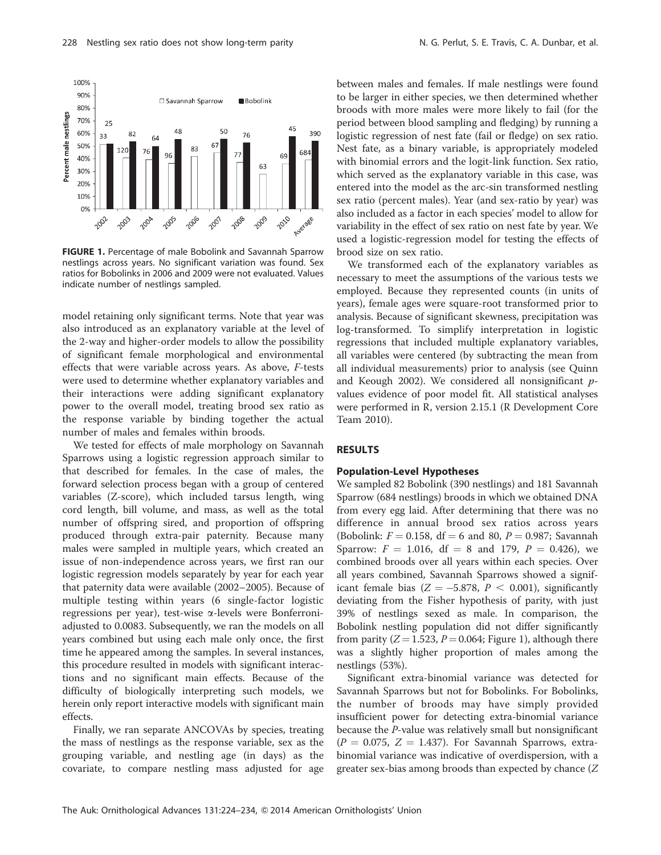

FIGURE 1. Percentage of male Bobolink and Savannah Sparrow nestlings across years. No significant variation was found. Sex ratios for Bobolinks in 2006 and 2009 were not evaluated. Values indicate number of nestlings sampled.

model retaining only significant terms. Note that year was also introduced as an explanatory variable at the level of the 2-way and higher-order models to allow the possibility of significant female morphological and environmental effects that were variable across years. As above, F-tests were used to determine whether explanatory variables and their interactions were adding significant explanatory power to the overall model, treating brood sex ratio as the response variable by binding together the actual number of males and females within broods.

We tested for effects of male morphology on Savannah Sparrows using a logistic regression approach similar to that described for females. In the case of males, the forward selection process began with a group of centered variables (Z-score), which included tarsus length, wing cord length, bill volume, and mass, as well as the total number of offspring sired, and proportion of offspring produced through extra-pair paternity. Because many males were sampled in multiple years, which created an issue of non-independence across years, we first ran our logistic regression models separately by year for each year that paternity data were available (2002–2005). Because of multiple testing within years (6 single-factor logistic regressions per year), test-wise a-levels were Bonferroniadjusted to 0.0083. Subsequently, we ran the models on all years combined but using each male only once, the first time he appeared among the samples. In several instances, this procedure resulted in models with significant interactions and no significant main effects. Because of the difficulty of biologically interpreting such models, we herein only report interactive models with significant main effects.

Finally, we ran separate ANCOVAs by species, treating the mass of nestlings as the response variable, sex as the grouping variable, and nestling age (in days) as the covariate, to compare nestling mass adjusted for age

between males and females. If male nestlings were found to be larger in either species, we then determined whether broods with more males were more likely to fail (for the period between blood sampling and fledging) by running a logistic regression of nest fate (fail or fledge) on sex ratio. Nest fate, as a binary variable, is appropriately modeled with binomial errors and the logit-link function. Sex ratio, which served as the explanatory variable in this case, was entered into the model as the arc-sin transformed nestling sex ratio (percent males). Year (and sex-ratio by year) was also included as a factor in each species' model to allow for variability in the effect of sex ratio on nest fate by year. We used a logistic-regression model for testing the effects of brood size on sex ratio.

We transformed each of the explanatory variables as necessary to meet the assumptions of the various tests we employed. Because they represented counts (in units of years), female ages were square-root transformed prior to analysis. Because of significant skewness, precipitation was log-transformed. To simplify interpretation in logistic regressions that included multiple explanatory variables, all variables were centered (by subtracting the mean from all individual measurements) prior to analysis (see Quinn and Keough 2002). We considered all nonsignificant  $p$ values evidence of poor model fit. All statistical analyses were performed in R, version 2.15.1 (R Development Core Team 2010).

#### RESULTS

#### Population-Level Hypotheses

We sampled 82 Bobolink (390 nestlings) and 181 Savannah Sparrow (684 nestlings) broods in which we obtained DNA from every egg laid. After determining that there was no difference in annual brood sex ratios across years (Bobolink:  $F = 0.158$ , df = 6 and 80,  $P = 0.987$ ; Savannah Sparrow:  $F = 1.016$ , df = 8 and 179,  $P = 0.426$ ), we combined broods over all years within each species. Over all years combined, Savannah Sparrows showed a significant female bias ( $Z = -5.878$ ,  $P < 0.001$ ), significantly deviating from the Fisher hypothesis of parity, with just 39% of nestlings sexed as male. In comparison, the Bobolink nestling population did not differ significantly from parity ( $Z = 1.523$ ,  $P = 0.064$ ; Figure 1), although there was a slightly higher proportion of males among the nestlings (53%).

Significant extra-binomial variance was detected for Savannah Sparrows but not for Bobolinks. For Bobolinks, the number of broods may have simply provided insufficient power for detecting extra-binomial variance because the P-value was relatively small but nonsignificant  $(P = 0.075, Z = 1.437)$ . For Savannah Sparrows, extrabinomial variance was indicative of overdispersion, with a greater sex-bias among broods than expected by chance (Z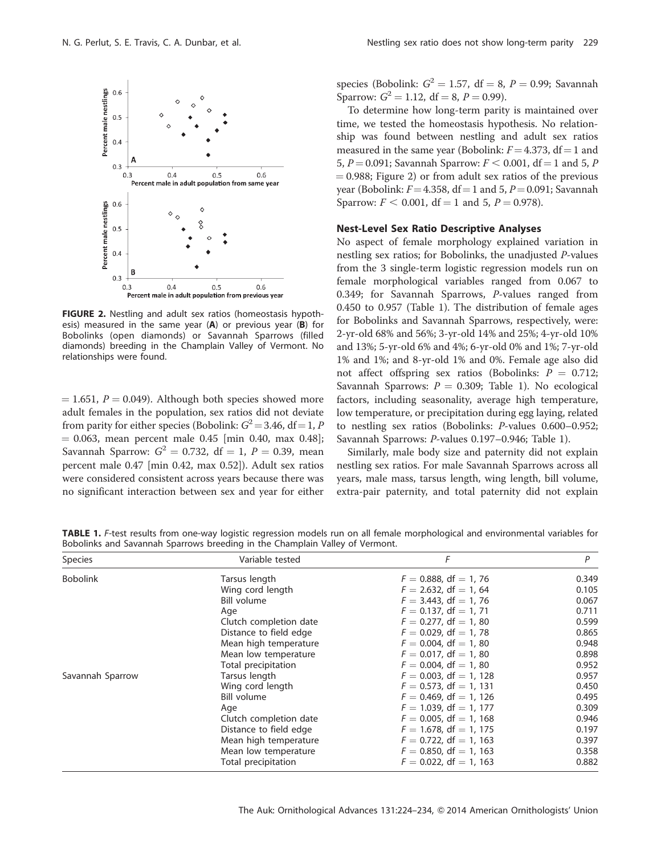

FIGURE 2. Nestling and adult sex ratios (homeostasis hypothesis) measured in the same year  $(A)$  or previous year  $(B)$  for Bobolinks (open diamonds) or Savannah Sparrows (filled diamonds) breeding in the Champlain Valley of Vermont. No relationships were found.

 $= 1.651, P = 0.049$ . Although both species showed more adult females in the population, sex ratios did not deviate from parity for either species (Bobolink:  $G^2 = 3.46$ , df = 1, P  $= 0.063$ , mean percent male 0.45 [min 0.40, max 0.48]; Savannah Sparrow:  $G^2 = 0.732$ , df = 1, P = 0.39, mean percent male 0.47 [min 0.42, max 0.52]). Adult sex ratios were considered consistent across years because there was no significant interaction between sex and year for either

species (Bobolink:  $G^2 = 1.57$ , df = 8, P = 0.99; Savannah Sparrow:  $G^2 = 1.12$ , df = 8, P = 0.99).

To determine how long-term parity is maintained over time, we tested the homeostasis hypothesis. No relationship was found between nestling and adult sex ratios measured in the same year (Bobolink:  $F = 4.373$ , df = 1 and 5,  $P = 0.091$ ; Savannah Sparrow:  $F < 0.001$ , df = 1 and 5, P  $= 0.988$ ; Figure 2) or from adult sex ratios of the previous year (Bobolink:  $F = 4.358$ , df = 1 and 5,  $P = 0.091$ ; Savannah Sparrow:  $F < 0.001$ , df = 1 and 5,  $P = 0.978$ ).

#### Nest-Level Sex Ratio Descriptive Analyses

No aspect of female morphology explained variation in nestling sex ratios; for Bobolinks, the unadjusted P-values from the 3 single-term logistic regression models run on female morphological variables ranged from 0.067 to 0.349; for Savannah Sparrows, P-values ranged from 0.450 to 0.957 (Table 1). The distribution of female ages for Bobolinks and Savannah Sparrows, respectively, were: 2-yr-old 68% and 56%; 3-yr-old 14% and 25%; 4-yr-old 10% and 13%; 5-yr-old 6% and 4%; 6-yr-old 0% and 1%; 7-yr-old 1% and 1%; and 8-yr-old 1% and 0%. Female age also did not affect offspring sex ratios (Bobolinks:  $P = 0.712$ ; Savannah Sparrows:  $P = 0.309$ ; Table 1). No ecological factors, including seasonality, average high temperature, low temperature, or precipitation during egg laying, related to nestling sex ratios (Bobolinks: P-values 0.600–0.952; Savannah Sparrows: P-values 0.197–0.946; Table 1).

Similarly, male body size and paternity did not explain nestling sex ratios. For male Savannah Sparrows across all years, male mass, tarsus length, wing length, bill volume, extra-pair paternity, and total paternity did not explain

TABLE 1. F-test results from one-way logistic regression models run on all female morphological and environmental variables for Bobolinks and Savannah Sparrows breeding in the Champlain Valley of Vermont.

| Species          | Variable tested        | F                         | Ρ     |
|------------------|------------------------|---------------------------|-------|
| <b>Bobolink</b>  | Tarsus length          | $F = 0.888$ , df = 1, 76  | 0.349 |
|                  | Wing cord length       | $F = 2.632$ , df = 1, 64  | 0.105 |
|                  | <b>Bill volume</b>     | $F = 3.443$ , df = 1, 76  | 0.067 |
|                  | Age                    | $F = 0.137$ , df = 1, 71  | 0.711 |
|                  | Clutch completion date | $F = 0.277$ , df = 1, 80  | 0.599 |
|                  | Distance to field edge | $F = 0.029$ , df = 1, 78  | 0.865 |
|                  | Mean high temperature  | $F = 0.004$ , df = 1, 80  | 0.948 |
|                  | Mean low temperature   | $F = 0.017$ , df = 1, 80  | 0.898 |
|                  | Total precipitation    | $F = 0.004$ , df = 1, 80  | 0.952 |
| Savannah Sparrow | Tarsus length          | $F = 0.003$ , df = 1, 128 | 0.957 |
|                  | Wing cord length       | $F = 0.573$ , df = 1, 131 | 0.450 |
|                  | <b>Bill volume</b>     | $F = 0.469$ , df = 1, 126 | 0.495 |
|                  | Age                    | $F = 1.039$ , df = 1, 177 | 0.309 |
|                  | Clutch completion date | $F = 0.005$ , df = 1, 168 | 0.946 |
|                  | Distance to field edge | $F = 1.678$ , df = 1, 175 | 0.197 |
|                  | Mean high temperature  | $F = 0.722$ , df = 1, 163 | 0.397 |
|                  | Mean low temperature   | $F = 0.850$ , df = 1, 163 | 0.358 |
|                  | Total precipitation    | $F = 0.022$ , df = 1, 163 | 0.882 |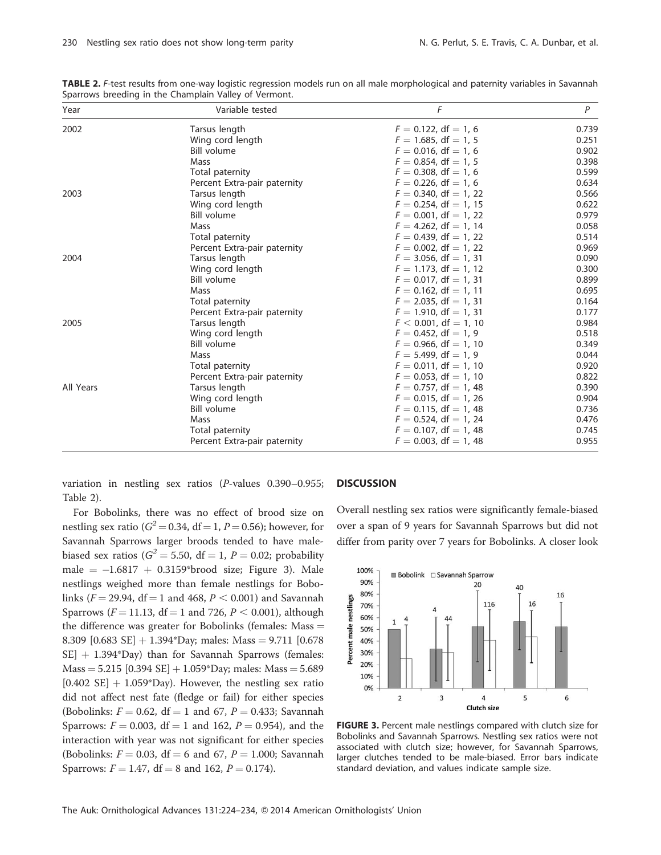| Year      | Variable tested              | F                        | P     |
|-----------|------------------------------|--------------------------|-------|
| 2002      | Tarsus length                | $F = 0.122$ , df = 1, 6  | 0.739 |
|           | Wing cord length             | $F = 1.685$ , df = 1, 5  | 0.251 |
|           | <b>Bill volume</b>           | $F = 0.016$ , df = 1, 6  | 0.902 |
|           | Mass                         | $F = 0.854$ , df = 1, 5  | 0.398 |
|           | Total paternity              | $F = 0.308$ , df = 1, 6  | 0.599 |
|           | Percent Extra-pair paternity | $F = 0.226$ , df = 1, 6  | 0.634 |
| 2003      | Tarsus length                | $F = 0.340$ , df = 1, 22 | 0.566 |
|           | Wing cord length             | $F = 0.254$ , df = 1, 15 | 0.622 |
|           | <b>Bill volume</b>           | $F = 0.001$ , df = 1, 22 | 0.979 |
|           | Mass                         | $F = 4.262$ , df = 1, 14 | 0.058 |
|           | Total paternity              | $F = 0.439$ , df = 1, 22 | 0.514 |
|           | Percent Extra-pair paternity | $F = 0.002$ , df = 1, 22 | 0.969 |
| 2004      | Tarsus length                | $F = 3.056$ , df = 1, 31 | 0.090 |
|           | Wing cord length             | $F = 1.173$ , df = 1, 12 | 0.300 |
|           | <b>Bill volume</b>           | $F = 0.017$ , df = 1, 31 | 0.899 |
|           | Mass                         | $F = 0.162$ , df = 1, 11 | 0.695 |
|           | Total paternity              | $F = 2.035$ , df = 1, 31 | 0.164 |
|           | Percent Extra-pair paternity | $F = 1.910$ , df = 1, 31 | 0.177 |
| 2005      | Tarsus length                | $F < 0.001$ , df = 1, 10 | 0.984 |
|           | Wing cord length             | $F = 0.452$ , df = 1, 9  | 0.518 |
|           | <b>Bill volume</b>           | $F = 0.966$ , df = 1, 10 | 0.349 |
|           | Mass                         | $F = 5.499$ , df = 1, 9  | 0.044 |
|           | Total paternity              | $F = 0.011$ , df = 1, 10 | 0.920 |
|           | Percent Extra-pair paternity | $F = 0.053$ , df = 1, 10 | 0.822 |
| All Years | Tarsus length                | $F = 0.757$ , df = 1, 48 | 0.390 |
|           | Wing cord length             | $F = 0.015$ , df = 1, 26 | 0.904 |
|           | <b>Bill volume</b>           | $F = 0.115$ , df = 1, 48 | 0.736 |
|           | Mass                         | $F = 0.524$ , df = 1, 24 | 0.476 |
|           | Total paternity              | $F = 0.107$ , df = 1, 48 | 0.745 |
|           | Percent Extra-pair paternity | $F = 0.003$ , df = 1, 48 | 0.955 |

TABLE 2. F-test results from one-way logistic regression models run on all male morphological and paternity variables in Savannah Sparrows breeding in the Champlain Valley of Vermont.

variation in nestling sex ratios (P-values 0.390–0.955; Table 2).

For Bobolinks, there was no effect of brood size on nestling sex ratio ( $G^2 = 0.34$ , df = 1, P = 0.56); however, for Savannah Sparrows larger broods tended to have malebiased sex ratios ( $G^2 = 5.50$ , df = 1, P = 0.02; probability male  $=$   $-1.6817$   $+$   $0.3159^{\ast}$ brood size; Figure 3). Male nestlings weighed more than female nestlings for Bobolinks ( $F = 29.94$ , df = 1 and 468,  $P < 0.001$ ) and Savannah Sparrows ( $F = 11.13$ , df = 1 and 726,  $P < 0.001$ ), although the difference was greater for Bobolinks (females:  $Mass =$ 8.309  $[0.683 \text{ SE}] + 1.394 \text{*Day}$ ; males: Mass = 9.711  $[0.678$  $|SE| + 1.394*$ Day) than for Savannah Sparrows (females:  $Mass = 5.215$  [0.394 SE]  $+ 1.059^*$ Day; males: Mass = 5.689  $[0.402 \text{ SE}] + 1.059^*$ Day). However, the nestling sex ratio did not affect nest fate (fledge or fail) for either species (Bobolinks:  $F = 0.62$ , df = 1 and 67,  $P = 0.433$ ; Savannah Sparrows:  $F = 0.003$ , df = 1 and 162,  $P = 0.954$ ), and the interaction with year was not significant for either species (Bobolinks:  $F = 0.03$ , df = 6 and 67,  $P = 1.000$ ; Savannah Sparrows:  $F = 1.47$ , df = 8 and 162,  $P = 0.174$ .

#### **DISCUSSION**

Overall nestling sex ratios were significantly female-biased over a span of 9 years for Savannah Sparrows but did not differ from parity over 7 years for Bobolinks. A closer look



FIGURE 3. Percent male nestlings compared with clutch size for Bobolinks and Savannah Sparrows. Nestling sex ratios were not associated with clutch size; however, for Savannah Sparrows, larger clutches tended to be male-biased. Error bars indicate standard deviation, and values indicate sample size.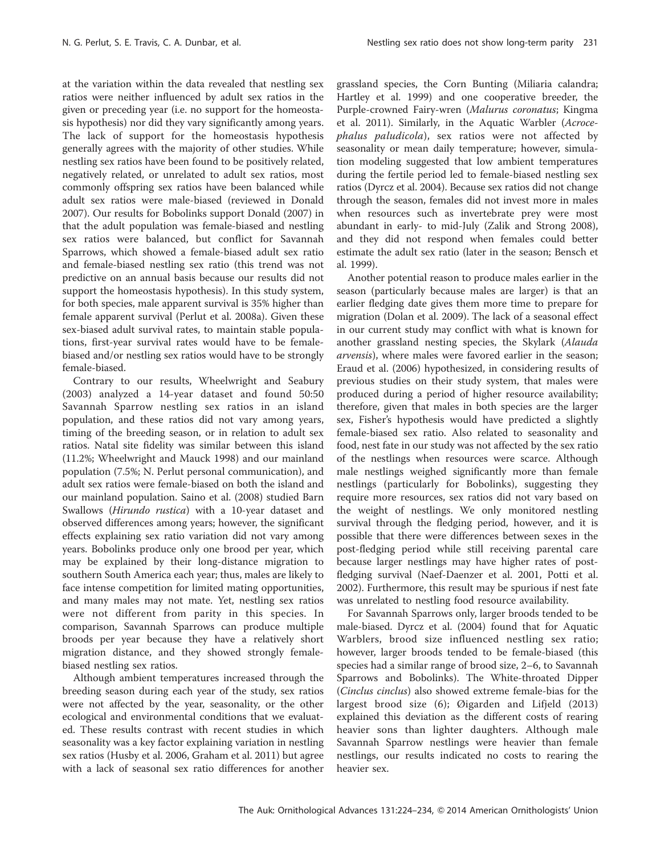at the variation within the data revealed that nestling sex ratios were neither influenced by adult sex ratios in the given or preceding year (i.e. no support for the homeostasis hypothesis) nor did they vary significantly among years. The lack of support for the homeostasis hypothesis generally agrees with the majority of other studies. While nestling sex ratios have been found to be positively related, negatively related, or unrelated to adult sex ratios, most commonly offspring sex ratios have been balanced while adult sex ratios were male-biased (reviewed in Donald 2007). Our results for Bobolinks support Donald (2007) in that the adult population was female-biased and nestling sex ratios were balanced, but conflict for Savannah Sparrows, which showed a female-biased adult sex ratio and female-biased nestling sex ratio (this trend was not predictive on an annual basis because our results did not support the homeostasis hypothesis). In this study system, for both species, male apparent survival is 35% higher than female apparent survival (Perlut et al. 2008a). Given these sex-biased adult survival rates, to maintain stable populations, first-year survival rates would have to be femalebiased and/or nestling sex ratios would have to be strongly female-biased.

Contrary to our results, Wheelwright and Seabury (2003) analyzed a 14-year dataset and found 50:50 Savannah Sparrow nestling sex ratios in an island population, and these ratios did not vary among years, timing of the breeding season, or in relation to adult sex ratios. Natal site fidelity was similar between this island (11.2%; Wheelwright and Mauck 1998) and our mainland population (7.5%; N. Perlut personal communication), and adult sex ratios were female-biased on both the island and our mainland population. Saino et al. (2008) studied Barn Swallows (Hirundo rustica) with a 10-year dataset and observed differences among years; however, the significant effects explaining sex ratio variation did not vary among years. Bobolinks produce only one brood per year, which may be explained by their long-distance migration to southern South America each year; thus, males are likely to face intense competition for limited mating opportunities, and many males may not mate. Yet, nestling sex ratios were not different from parity in this species. In comparison, Savannah Sparrows can produce multiple broods per year because they have a relatively short migration distance, and they showed strongly femalebiased nestling sex ratios.

Although ambient temperatures increased through the breeding season during each year of the study, sex ratios were not affected by the year, seasonality, or the other ecological and environmental conditions that we evaluated. These results contrast with recent studies in which seasonality was a key factor explaining variation in nestling sex ratios (Husby et al. 2006, Graham et al. 2011) but agree with a lack of seasonal sex ratio differences for another

grassland species, the Corn Bunting (Miliaria calandra; Hartley et al. 1999) and one cooperative breeder, the Purple-crowned Fairy-wren (Malurus coronatus; Kingma et al. 2011). Similarly, in the Aquatic Warbler (Acrocephalus paludicola), sex ratios were not affected by seasonality or mean daily temperature; however, simulation modeling suggested that low ambient temperatures during the fertile period led to female-biased nestling sex ratios (Dyrcz et al. 2004). Because sex ratios did not change through the season, females did not invest more in males when resources such as invertebrate prey were most abundant in early- to mid-July (Zalik and Strong 2008), and they did not respond when females could better estimate the adult sex ratio (later in the season; Bensch et al. 1999).

Another potential reason to produce males earlier in the season (particularly because males are larger) is that an earlier fledging date gives them more time to prepare for migration (Dolan et al. 2009). The lack of a seasonal effect in our current study may conflict with what is known for another grassland nesting species, the Skylark (Alauda arvensis), where males were favored earlier in the season; Eraud et al. (2006) hypothesized, in considering results of previous studies on their study system, that males were produced during a period of higher resource availability; therefore, given that males in both species are the larger sex, Fisher's hypothesis would have predicted a slightly female-biased sex ratio. Also related to seasonality and food, nest fate in our study was not affected by the sex ratio of the nestlings when resources were scarce. Although male nestlings weighed significantly more than female nestlings (particularly for Bobolinks), suggesting they require more resources, sex ratios did not vary based on the weight of nestlings. We only monitored nestling survival through the fledging period, however, and it is possible that there were differences between sexes in the post-fledging period while still receiving parental care because larger nestlings may have higher rates of postfledging survival (Naef-Daenzer et al. 2001, Potti et al. 2002). Furthermore, this result may be spurious if nest fate was unrelated to nestling food resource availability.

For Savannah Sparrows only, larger broods tended to be male-biased. Dyrcz et al. (2004) found that for Aquatic Warblers, brood size influenced nestling sex ratio; however, larger broods tended to be female-biased (this species had a similar range of brood size, 2–6, to Savannah Sparrows and Bobolinks). The White-throated Dipper (Cinclus cinclus) also showed extreme female-bias for the largest brood size (6); Øigarden and Lifjeld (2013) explained this deviation as the different costs of rearing heavier sons than lighter daughters. Although male Savannah Sparrow nestlings were heavier than female nestlings, our results indicated no costs to rearing the heavier sex.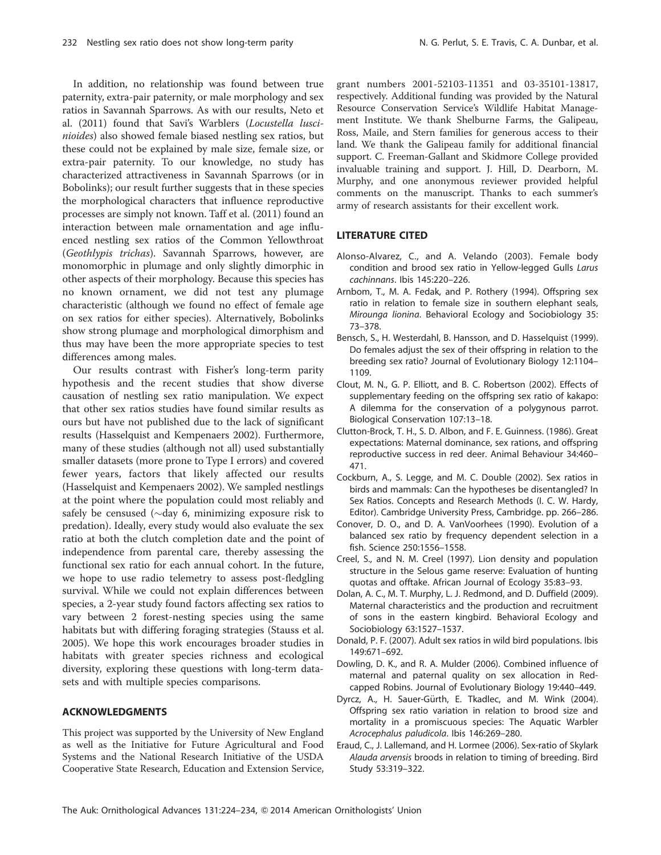In addition, no relationship was found between true paternity, extra-pair paternity, or male morphology and sex ratios in Savannah Sparrows. As with our results, Neto et al. (2011) found that Savi's Warblers (Locustella luscinioides) also showed female biased nestling sex ratios, but these could not be explained by male size, female size, or extra-pair paternity. To our knowledge, no study has characterized attractiveness in Savannah Sparrows (or in Bobolinks); our result further suggests that in these species the morphological characters that influence reproductive processes are simply not known. Taff et al. (2011) found an interaction between male ornamentation and age influenced nestling sex ratios of the Common Yellowthroat (Geothlypis trichas). Savannah Sparrows, however, are monomorphic in plumage and only slightly dimorphic in other aspects of their morphology. Because this species has no known ornament, we did not test any plumage characteristic (although we found no effect of female age on sex ratios for either species). Alternatively, Bobolinks show strong plumage and morphological dimorphism and thus may have been the more appropriate species to test differences among males.

Our results contrast with Fisher's long-term parity hypothesis and the recent studies that show diverse causation of nestling sex ratio manipulation. We expect that other sex ratios studies have found similar results as ours but have not published due to the lack of significant results (Hasselquist and Kempenaers 2002). Furthermore, many of these studies (although not all) used substantially smaller datasets (more prone to Type I errors) and covered fewer years, factors that likely affected our results (Hasselquist and Kempenaers 2002). We sampled nestlings at the point where the population could most reliably and safely be censused ( $\sim$ day 6, minimizing exposure risk to predation). Ideally, every study would also evaluate the sex ratio at both the clutch completion date and the point of independence from parental care, thereby assessing the functional sex ratio for each annual cohort. In the future, we hope to use radio telemetry to assess post-fledgling survival. While we could not explain differences between species, a 2-year study found factors affecting sex ratios to vary between 2 forest-nesting species using the same habitats but with differing foraging strategies (Stauss et al. 2005). We hope this work encourages broader studies in habitats with greater species richness and ecological diversity, exploring these questions with long-term datasets and with multiple species comparisons.

#### ACKNOWLEDGMENTS

This project was supported by the University of New England as well as the Initiative for Future Agricultural and Food Systems and the National Research Initiative of the USDA Cooperative State Research, Education and Extension Service,

grant numbers 2001-52103-11351 and 03-35101-13817, respectively. Additional funding was provided by the Natural Resource Conservation Service's Wildlife Habitat Management Institute. We thank Shelburne Farms, the Galipeau, Ross, Maile, and Stern families for generous access to their land. We thank the Galipeau family for additional financial support. C. Freeman-Gallant and Skidmore College provided invaluable training and support. J. Hill, D. Dearborn, M. Murphy, and one anonymous reviewer provided helpful comments on the manuscript. Thanks to each summer's army of research assistants for their excellent work.

#### LITERATURE CITED

- Alonso-Alvarez, C., and A. Velando (2003). Female body condition and brood sex ratio in Yellow-legged Gulls Larus cachinnans. Ibis 145:220–226.
- Arnbom, T., M. A. Fedak, and P. Rothery (1994). Offspring sex ratio in relation to female size in southern elephant seals, Mirounga lionina. Behavioral Ecology and Sociobiology 35: 73–378.
- Bensch, S., H. Westerdahl, B. Hansson, and D. Hasselquist (1999). Do females adjust the sex of their offspring in relation to the breeding sex ratio? Journal of Evolutionary Biology 12:1104– 1109.
- Clout, M. N., G. P. Elliott, and B. C. Robertson (2002). Effects of supplementary feeding on the offspring sex ratio of kakapo: A dilemma for the conservation of a polygynous parrot. Biological Conservation 107:13–18.
- Clutton-Brock, T. H., S. D. Albon, and F. E. Guinness. (1986). Great expectations: Maternal dominance, sex rations, and offspring reproductive success in red deer. Animal Behaviour 34:460– 471.
- Cockburn, A., S. Legge, and M. C. Double (2002). Sex ratios in birds and mammals: Can the hypotheses be disentangled? In Sex Ratios. Concepts and Research Methods (I. C. W. Hardy, Editor). Cambridge University Press, Cambridge. pp. 266–286.
- Conover, D. O., and D. A. VanVoorhees (1990). Evolution of a balanced sex ratio by frequency dependent selection in a fish. Science 250:1556–1558.
- Creel, S., and N. M. Creel (1997). Lion density and population structure in the Selous game reserve: Evaluation of hunting quotas and offtake. African Journal of Ecology 35:83–93.
- Dolan, A. C., M. T. Murphy, L. J. Redmond, and D. Duffield (2009). Maternal characteristics and the production and recruitment of sons in the eastern kingbird. Behavioral Ecology and Sociobiology 63:1527–1537.
- Donald, P. F. (2007). Adult sex ratios in wild bird populations. Ibis 149:671–692.
- Dowling, D. K., and R. A. Mulder (2006). Combined influence of maternal and paternal quality on sex allocation in Redcapped Robins. Journal of Evolutionary Biology 19:440–449.
- Dyrcz, A., H. Sauer-Gürth, E. Tkadlec, and M. Wink (2004). Offspring sex ratio variation in relation to brood size and mortality in a promiscuous species: The Aquatic Warbler Acrocephalus paludicola. Ibis 146:269–280.
- Eraud, C., J. Lallemand, and H. Lormee (2006). Sex-ratio of Skylark Alauda arvensis broods in relation to timing of breeding. Bird Study 53:319–322.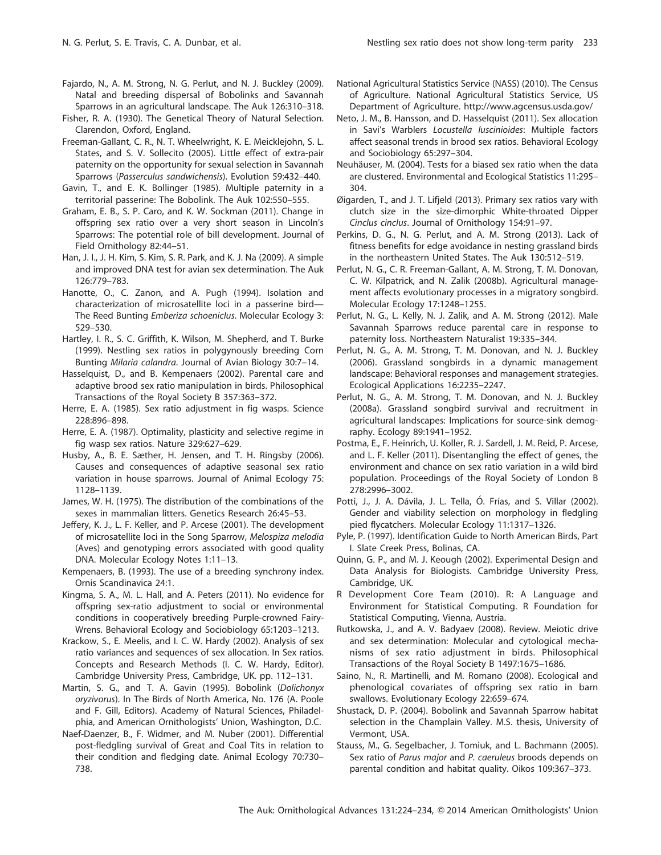- Fajardo, N., A. M. Strong, N. G. Perlut, and N. J. Buckley (2009). Natal and breeding dispersal of Bobolinks and Savannah Sparrows in an agricultural landscape. The Auk 126:310–318.
- Fisher, R. A. (1930). The Genetical Theory of Natural Selection. Clarendon, Oxford, England.
- Freeman-Gallant, C. R., N. T. Wheelwright, K. E. Meicklejohn, S. L. States, and S. V. Sollecito (2005). Little effect of extra-pair paternity on the opportunity for sexual selection in Savannah Sparrows (Passerculus sandwichensis). Evolution 59:432–440.
- Gavin, T., and E. K. Bollinger (1985). Multiple paternity in a territorial passerine: The Bobolink. The Auk 102:550–555.
- Graham, E. B., S. P. Caro, and K. W. Sockman (2011). Change in offspring sex ratio over a very short season in Lincoln's Sparrows: The potential role of bill development. Journal of Field Ornithology 82:44–51.
- Han, J. I., J. H. Kim, S. Kim, S. R. Park, and K. J. Na (2009). A simple and improved DNA test for avian sex determination. The Auk 126:779–783.
- Hanotte, O., C. Zanon, and A. Pugh (1994). Isolation and characterization of microsatellite loci in a passerine bird— The Reed Bunting Emberiza schoeniclus. Molecular Ecology 3: 529–530.
- Hartley, I. R., S. C. Griffith, K. Wilson, M. Shepherd, and T. Burke (1999). Nestling sex ratios in polygynously breeding Corn Bunting Milaria calandra. Journal of Avian Biology 30:7–14.
- Hasselquist, D., and B. Kempenaers (2002). Parental care and adaptive brood sex ratio manipulation in birds. Philosophical Transactions of the Royal Society B 357:363–372.
- Herre, E. A. (1985). Sex ratio adjustment in fig wasps. Science 228:896–898.
- Herre, E. A. (1987). Optimality, plasticity and selective regime in fig wasp sex ratios. Nature 329:627–629.
- Husby, A., B. E. Sæther, H. Jensen, and T. H. Ringsby (2006). Causes and consequences of adaptive seasonal sex ratio variation in house sparrows. Journal of Animal Ecology 75: 1128–1139.
- James, W. H. (1975). The distribution of the combinations of the sexes in mammalian litters. Genetics Research 26:45–53.
- Jeffery, K. J., L. F. Keller, and P. Arcese (2001). The development of microsatellite loci in the Song Sparrow, Melospiza melodia (Aves) and genotyping errors associated with good quality DNA. Molecular Ecology Notes 1:11–13.
- Kempenaers, B. (1993). The use of a breeding synchrony index. Ornis Scandinavica 24:1.
- Kingma, S. A., M. L. Hall, and A. Peters (2011). No evidence for offspring sex-ratio adjustment to social or environmental conditions in cooperatively breeding Purple-crowned Fairy-Wrens. Behavioral Ecology and Sociobiology 65:1203–1213.
- Krackow, S., E. Meelis, and I. C. W. Hardy (2002). Analysis of sex ratio variances and sequences of sex allocation. In Sex ratios. Concepts and Research Methods (I. C. W. Hardy, Editor). Cambridge University Press, Cambridge, UK. pp. 112–131.
- Martin, S. G., and T. A. Gavin (1995). Bobolink (Dolichonyx oryzivorus). In The Birds of North America, No. 176 (A. Poole and F. Gill, Editors). Academy of Natural Sciences, Philadelphia, and American Ornithologists' Union, Washington, D.C.
- Naef-Daenzer, B., F. Widmer, and M. Nuber (2001). Differential post-fledgling survival of Great and Coal Tits in relation to their condition and fledging date. Animal Ecology 70:730– 738.
- National Agricultural Statistics Service (NASS) (2010). The Census of Agriculture. National Agricultural Statistics Service, US Department of Agriculture. http://www.agcensus.usda.gov/
- Neto, J. M., B. Hansson, and D. Hasselquist (2011). Sex allocation in Savi's Warblers Locustella luscinioides: Multiple factors affect seasonal trends in brood sex ratios. Behavioral Ecology and Sociobiology 65:297–304.
- Neuhäuser, M. (2004). Tests for a biased sex ratio when the data are clustered. Environmental and Ecological Statistics 11:295– 304.
- Øigarden, T., and J. T. Lifjeld (2013). Primary sex ratios vary with clutch size in the size-dimorphic White-throated Dipper Cinclus cinclus. Journal of Ornithology 154:91–97.
- Perkins, D. G., N. G. Perlut, and A. M. Strong (2013). Lack of fitness benefits for edge avoidance in nesting grassland birds in the northeastern United States. The Auk 130:512–519.
- Perlut, N. G., C. R. Freeman-Gallant, A. M. Strong, T. M. Donovan, C. W. Kilpatrick, and N. Zalik (2008b). Agricultural management affects evolutionary processes in a migratory songbird. Molecular Ecology 17:1248–1255.
- Perlut, N. G., L. Kelly, N. J. Zalik, and A. M. Strong (2012). Male Savannah Sparrows reduce parental care in response to paternity loss. Northeastern Naturalist 19:335–344.
- Perlut, N. G., A. M. Strong, T. M. Donovan, and N. J. Buckley (2006). Grassland songbirds in a dynamic management landscape: Behavioral responses and management strategies. Ecological Applications 16:2235–2247.
- Perlut, N. G., A. M. Strong, T. M. Donovan, and N. J. Buckley (2008a). Grassland songbird survival and recruitment in agricultural landscapes: Implications for source-sink demography. Ecology 89:1941–1952.
- Postma, E., F. Heinrich, U. Koller, R. J. Sardell, J. M. Reid, P. Arcese, and L. F. Keller (2011). Disentangling the effect of genes, the environment and chance on sex ratio variation in a wild bird population. Proceedings of the Royal Society of London B 278:2996–3002.
- Potti, J., J. A. Dávila, J. L. Tella, Ó. Frías, and S. Villar (2002). Gender and viability selection on morphology in fledgling pied flycatchers. Molecular Ecology 11:1317–1326.
- Pyle, P. (1997). Identification Guide to North American Birds, Part I. Slate Creek Press, Bolinas, CA.
- Quinn, G. P., and M. J. Keough (2002). Experimental Design and Data Analysis for Biologists. Cambridge University Press, Cambridge, UK.
- R Development Core Team (2010). R: A Language and Environment for Statistical Computing. R Foundation for Statistical Computing, Vienna, Austria.
- Rutkowska, J., and A. V. Badyaev (2008). Review. Meiotic drive and sex determination: Molecular and cytological mechanisms of sex ratio adjustment in birds. Philosophical Transactions of the Royal Society B 1497:1675–1686.
- Saino, N., R. Martinelli, and M. Romano (2008). Ecological and phenological covariates of offspring sex ratio in barn swallows. Evolutionary Ecology 22:659–674.
- Shustack, D. P. (2004). Bobolink and Savannah Sparrow habitat selection in the Champlain Valley. M.S. thesis, University of Vermont, USA.
- Stauss, M., G. Segelbacher, J. Tomiuk, and L. Bachmann (2005). Sex ratio of Parus major and P. caeruleus broods depends on parental condition and habitat quality. Oikos 109:367–373.